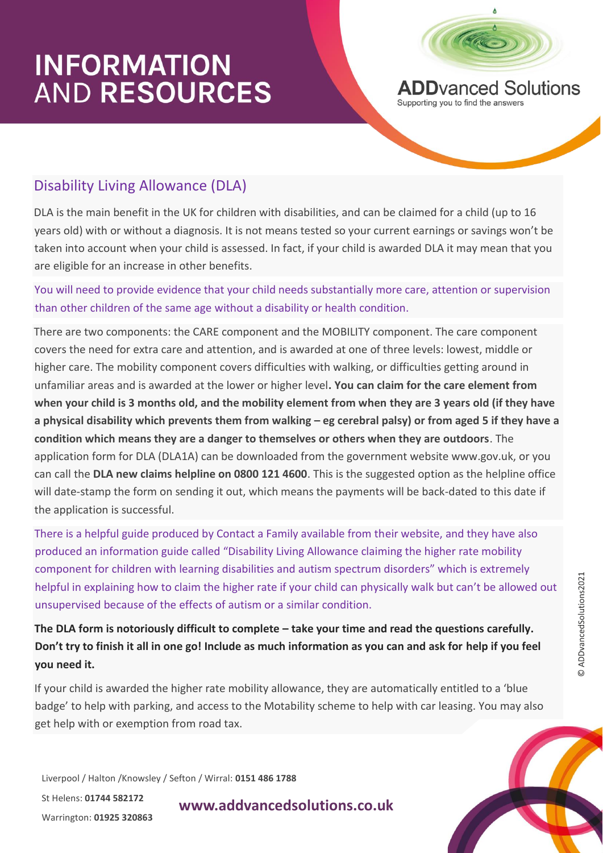

**ADD**vanced Solutions Supporting you to find the answers

### Disability Living Allowance (DLA)

DLA is the main benefit in the UK for children with disabilities, and can be claimed for a child (up to 16 years old) with or without a diagnosis. It is not means tested so your current earnings or savings won't be taken into account when your child is assessed. In fact, if your child is awarded DLA it may mean that you are eligible for an increase in other benefits.

#### You will need to provide evidence that your child needs substantially more care, attention or supervision than other children of the same age without a disability or health condition.

There are two components: the CARE component and the MOBILITY component. The care component covers the need for extra care and attention, and is awarded at one of three levels: lowest, middle or higher care. The mobility component covers difficulties with walking, or difficulties getting around in unfamiliar areas and is awarded at the lower or higher level**. You can claim for the care element from when your child is 3 months old, and the mobility element from when they are 3 years old (if they have a physical disability which prevents them from walking – eg cerebral palsy) or from aged 5 if they have a condition which means they are a danger to themselves or others when they are outdoors**. The application form for DLA (DLA1A) can be downloaded from the government website www.gov.uk, or you can call the **DLA new claims helpline on 0800 121 4600**. This is the suggested option as the helpline office will date-stamp the form on sending it out, which means the payments will be back-dated to this date if the application is successful.

There is a helpful guide produced by Contact a Family available from their website, and they have also produced an information guide called "Disability Living Allowance claiming the higher rate mobility component for children with learning disabilities and autism spectrum disorders" which is extremely helpful in explaining how to claim the higher rate if your child can physically walk but can't be allowed out unsupervised because of the effects of autism or a similar condition.

The DLA form is notoriously difficult to complete – take your time and read the questions carefully. **Don't try to finish it all in one go! Include as much information as you can and ask for help if you feel you need it.**

If your child is awarded the higher rate mobility allowance, they are automatically entitled to a 'blue badge' to help with parking, and access to the Motability scheme to help with car leasing. You may also get help with or exemption from road tax.

Liverpool / Halton /Knowsley / Sefton / Wirral: **0151 486 1788**

St Helens: **01744 582172**  Warrington: **01925 320863**

**www.addvancedsolutions.co.uk**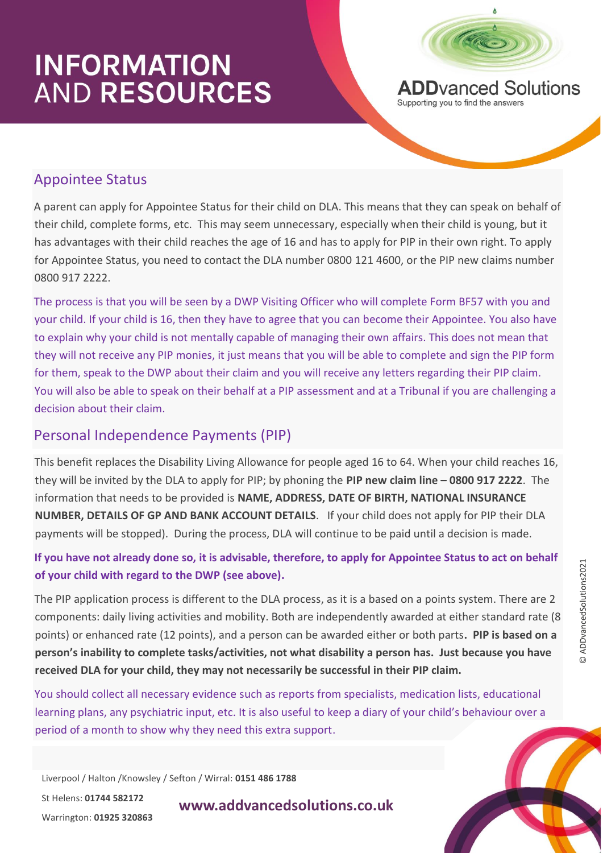

**ADD**vanced Solutions Supporting you to find the answers

#### Appointee Status

A parent can apply for Appointee Status for their child on DLA. This means that they can speak on behalf of their child, complete forms, etc. This may seem unnecessary, especially when their child is young, but it has advantages with their child reaches the age of 16 and has to apply for PIP in their own right. To apply for Appointee Status, you need to contact the DLA number 0800 121 4600, or the PIP new claims number 0800 917 2222.

The process is that you will be seen by a DWP Visiting Officer who will complete Form BF57 with you and your child. If your child is 16, then they have to agree that you can become their Appointee. You also have to explain why your child is not mentally capable of managing their own affairs. This does not mean that they will not receive any PIP monies, it just means that you will be able to complete and sign the PIP form for them, speak to the DWP about their claim and you will receive any letters regarding their PIP claim. You will also be able to speak on their behalf at a PIP assessment and at a Tribunal if you are challenging a decision about their claim.

### Personal Independence Payments (PIP)

This benefit replaces the Disability Living Allowance for people aged 16 to 64. When your child reaches 16, they will be invited by the DLA to apply for PIP; by phoning the **PIP new claim line – 0800 917 2222**. The information that needs to be provided is **NAME, ADDRESS, DATE OF BIRTH, NATIONAL INSURANCE NUMBER, DETAILS OF GP AND BANK ACCOUNT DETAILS**. If your child does not apply for PIP their DLA payments will be stopped). During the process, DLA will continue to be paid until a decision is made.

**If you have not already done so, it is advisable, therefore, to apply for Appointee Status to act on behalf of your child with regard to the DWP (see above).**

The PIP application process is different to the DLA process, as it is a based on a points system. There are 2 components: daily living activities and mobility. Both are independently awarded at either standard rate (8 points) or enhanced rate (12 points), and a person can be awarded either or both parts**. PIP is based on a person's inability to complete tasks/activities, not what disability a person has. Just because you have received DLA for your child, they may not necessarily be successful in their PIP claim.**

You should collect all necessary evidence such as reports from specialists, medication lists, educational learning plans, any psychiatric input, etc. It is also useful to keep a diary of your child's behaviour over a period of a month to show why they need this extra support.

Liverpool / Halton /Knowsley / Sefton / Wirral: **0151 486 1788**

St Helens: **01744 582172**  Warrington: **01925 320863**

**www.addvancedsolutions.co.uk**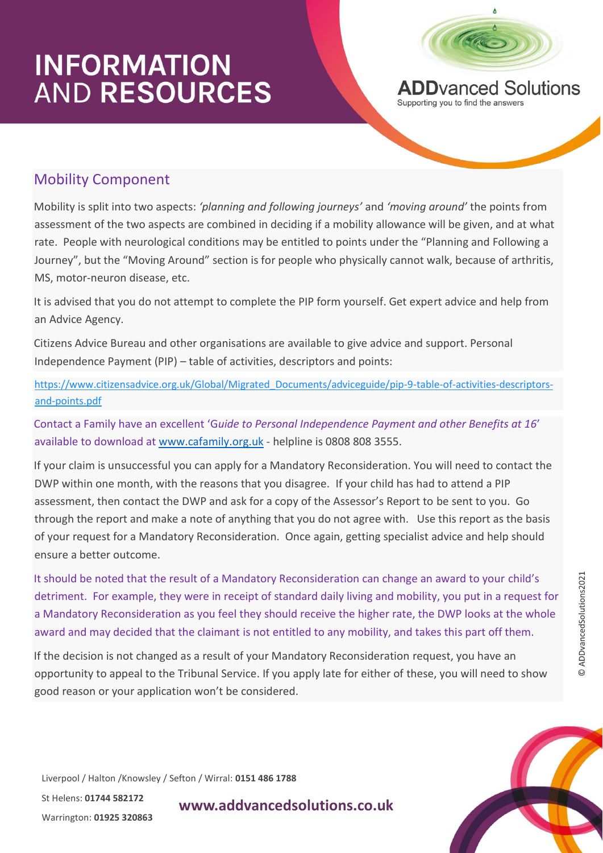

**ADD**vanced Solutions Supporting you to find the answers

### Mobility Component

Mobility is split into two aspects: *'planning and following journeys'* and *'moving around'* the points from assessment of the two aspects are combined in deciding if a mobility allowance will be given, and at what rate. People with neurological conditions may be entitled to points under the "Planning and Following a Journey", but the "Moving Around" section is for people who physically cannot walk, because of arthritis, MS, motor-neuron disease, etc.

It is advised that you do not attempt to complete the PIP form yourself. Get expert advice and help from an Advice Agency.

Citizens Advice Bureau and other organisations are available to give advice and support. Personal Independence Payment (PIP) – table of activities, descriptors and points:

[https://www.citizensadvice.org.uk/Global/Migrated\\_Documents/adviceguide/pip-9-table-of-activities-descriptors](https://www.citizensadvice.org.uk/Global/Migrated_Documents/adviceguide/pip-9-table-of-activities-descriptors-and-points.pdf)[and-points.pdf](https://www.citizensadvice.org.uk/Global/Migrated_Documents/adviceguide/pip-9-table-of-activities-descriptors-and-points.pdf)

Contact a Family have an excellent 'G*uide to Personal Independence Payment and other Benefits at 16*' available to download at [www.cafamily.org.uk](http://www.cafamily.org.uk/) - helpline is 0808 808 3555.

If your claim is unsuccessful you can apply for a Mandatory Reconsideration. You will need to contact the DWP within one month, with the reasons that you disagree. If your child has had to attend a PIP assessment, then contact the DWP and ask for a copy of the Assessor's Report to be sent to you. Go through the report and make a note of anything that you do not agree with. Use this report as the basis of your request for a Mandatory Reconsideration. Once again, getting specialist advice and help should ensure a better outcome.

It should be noted that the result of a Mandatory Reconsideration can change an award to your child's detriment. For example, they were in receipt of standard daily living and mobility, you put in a request for a Mandatory Reconsideration as you feel they should receive the higher rate, the DWP looks at the whole award and may decided that the claimant is not entitled to any mobility, and takes this part off them.

If the decision is not changed as a result of your Mandatory Reconsideration request, you have an opportunity to appeal to the Tribunal Service. If you apply late for either of these, you will need to show good reason or your application won't be considered.

Liverpool / Halton /Knowsley / Sefton / Wirral: **0151 486 1788**

St Helens: **01744 582172**  Warrington: **01925 320863**

**www.addvancedsolutions.co.uk**